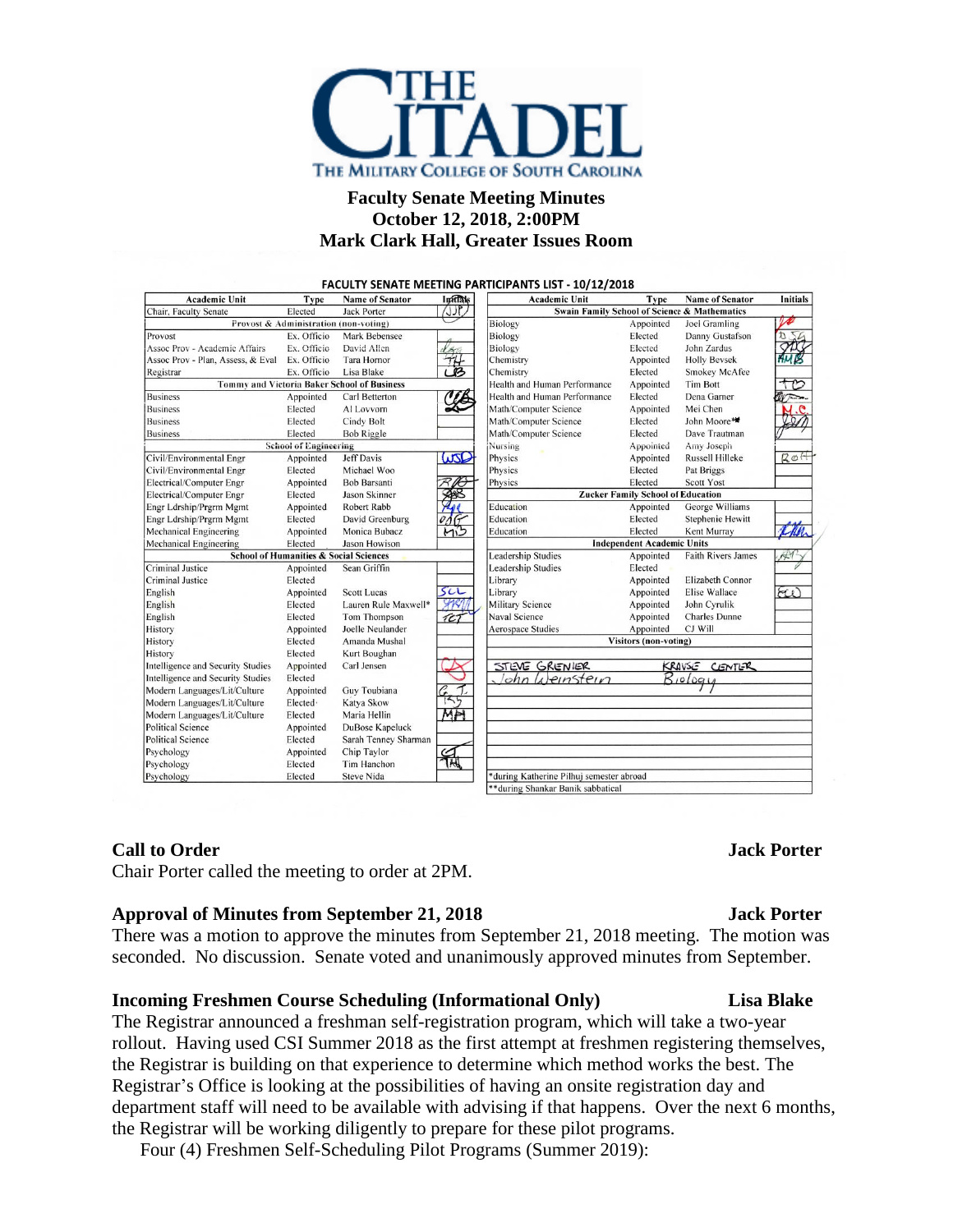

# **Faculty Senate Meeting Minutes October 12, 2018, 2:00PM Mark Clark Hall, Greater Issues Room**

FACULTY SENATE MEETING PARTICIPANTS LIST - 10/12/2018

| <b>Academic Unit</b>                                               | <b>Type</b>                                       | <b>Name of Senator</b> | <b>Infilats</b>                              | <b>Academic Unit</b>                     | <b>Type</b>                       | <b>Name of Senator</b>    | <b>Initials</b>     |
|--------------------------------------------------------------------|---------------------------------------------------|------------------------|----------------------------------------------|------------------------------------------|-----------------------------------|---------------------------|---------------------|
| Chair, Faculty Senate<br>Elected<br><b>Jack Porter</b><br>ع المالي |                                                   |                        | Swain Family School of Science & Mathematics |                                          |                                   |                           |                     |
| Provost & Administration (non-voting)                              |                                                   |                        | Biology                                      | Appointed                                | Joel Gramling                     |                           |                     |
| Provost                                                            | Ex. Officio                                       | Mark Bebensee          |                                              | Biology                                  | Elected                           | Danny Gustafson           |                     |
| Assoc Prov - Academic Affairs                                      | Ex. Officio                                       | David Allen            |                                              | Biology                                  | Elected                           | John Zardus               |                     |
| Assoc Prov - Plan, Assess, & Eval                                  | Ex. Officio                                       | <b>Tara Hornor</b>     | 世                                            | Chemistry                                | Appointed                         | <b>Holly Bevsek</b>       |                     |
| Registrar                                                          | Ex. Officio                                       | Lisa Blake             |                                              | Chemistry                                | Elected                           | <b>Smokey McAfee</b>      |                     |
| Tommy and Victoria Baker School of Business                        |                                                   |                        |                                              | Health and Human Performance             | Appointed                         | <b>Tim Bott</b>           |                     |
| <b>Business</b>                                                    | Appointed                                         | Carl Betterton         |                                              | Health and Human Performance             | Elected                           | Dena Garner               |                     |
| <b>Business</b>                                                    | Elected                                           | Al Lovvorn             |                                              | Math/Computer Science                    | Appointed                         | Mei Chen                  |                     |
| <b>Business</b>                                                    | Elected                                           | Cindy Bolt             |                                              | Math/Computer Science                    | Elected                           | John Moore*               |                     |
| <b>Business</b>                                                    | Elected                                           | <b>Bob Riggle</b>      |                                              | Math/Computer Science                    | Elected                           | Dave Trautman             |                     |
| <b>School of Engineering</b>                                       |                                                   |                        |                                              | <b>Nursing</b>                           | Appointed                         | Amy Joseph                |                     |
| Civil/Environmental Engr                                           | Appointed                                         | <b>Jeff Davis</b>      | WSD                                          | Physics                                  | Appointed                         | <b>Russell Hilleke</b>    | $BA + B$            |
| Civil/Environmental Engr                                           | Elected                                           | Michael Woo            |                                              | Physics                                  | Elected                           | Pat Briggs                |                     |
| Electrical/Computer Engr                                           | Appointed                                         | <b>Bob Barsanti</b>    |                                              | Physics                                  | Elected                           | Scott Yost                |                     |
| Electrical/Computer Engr                                           | Elected                                           | Jason Skinner          |                                              | <b>Zucker Family School of Education</b> |                                   |                           |                     |
| Engr Ldrship/Prgrm Mgmt                                            | Appointed                                         | Robert Rabb            |                                              | Education                                | Appointed                         | George Williams           |                     |
| Engr Ldrship/Prgrm Mgmt                                            | Elected                                           | David Greenburg        |                                              | Education                                | Elected                           | Stephenie Hewitt          |                     |
| <b>Mechanical Engineering</b>                                      | Appointed                                         | Monica Bubacz          | Mis                                          | Education                                | Elected                           | Kent Murray               | Cher                |
| <b>Mechanical Engineering</b>                                      | Elected                                           | Jason Howison          |                                              |                                          | <b>Independent Academic Units</b> |                           |                     |
|                                                                    | <b>School of Humanities &amp; Social Sciences</b> |                        |                                              | <b>Leadership Studies</b>                | Appointed                         | <b>Faith Rivers James</b> | $\leftrightarrow$ 1 |
| <b>Criminal Justice</b>                                            | Appointed                                         | Sean Griffin           |                                              | <b>Leadership Studies</b>                | Elected                           |                           |                     |
| <b>Criminal Justice</b>                                            | Elected                                           |                        |                                              | Library                                  | Appointed                         | Elizabeth Connor          |                     |
| English                                                            | Appointed                                         | <b>Scott Lucas</b>     | 5c                                           | Library                                  | Appointed                         | <b>Elise Wallace</b>      | FU)                 |
| English                                                            | Elected                                           | Lauren Rule Maxwell*   | SARA                                         | <b>Military Science</b>                  | Appointed                         | John Cyrulik              |                     |
| English                                                            | Elected                                           | Tom Thompson           | 7C7                                          | Naval Science                            | Appointed                         | <b>Charles Dunne</b>      |                     |
| History                                                            | Appointed                                         | Joelle Neulander       |                                              | <b>Aerospace Studies</b>                 | Appointed                         | CJ Will                   |                     |
| History                                                            | Elected                                           | Amanda Mushal          |                                              | <b>Visitors</b> (non-voting)             |                                   |                           |                     |
| History                                                            | Elected                                           | Kurt Boughan           |                                              |                                          |                                   |                           |                     |
| Intelligence and Security Studies                                  | Appointed                                         | Carl Jensen            |                                              | STEVE GRENIER                            |                                   | <b>KRAVSE CENTER</b>      |                     |
| Intelligence and Security Studies                                  | Elected                                           |                        |                                              | ohn Weinstein                            |                                   | Biology                   |                     |
| Modern Languages/Lit/Culture                                       | Appointed                                         | Guy Toubiana           |                                              |                                          |                                   |                           |                     |
| Modern Languages/Lit/Culture                                       | Elected ·                                         | Katya Skow             | 755                                          |                                          |                                   |                           |                     |
| Modern Languages/Lit/Culture                                       | Elected                                           | Maria Hellin           | MM                                           |                                          |                                   |                           |                     |
| <b>Political Science</b>                                           | Appointed                                         | DuBose Kapeluck        |                                              |                                          |                                   |                           |                     |
| <b>Political Science</b>                                           | Elected                                           | Sarah Tenney Sharman   |                                              |                                          |                                   |                           |                     |
| Psychology                                                         | Appointed                                         | Chip Taylor            |                                              |                                          |                                   |                           |                     |
| Psychology                                                         | Elected                                           | Tim Hanchon            | TH                                           |                                          |                                   |                           |                     |
| Psychology                                                         | Elected                                           | <b>Steve Nida</b>      |                                              | *during Katherine Pilhuj semester abroad |                                   |                           |                     |
|                                                                    |                                                   |                        |                                              | **during Shankar Banik sabbatical        |                                   |                           |                     |

### **Call to Order Jack Porter**

Chair Porter called the meeting to order at 2PM.

### **Approval of Minutes from September 21, 2018 Jack Porter**

There was a motion to approve the minutes from September 21, 2018 meeting. The motion was seconded. No discussion. Senate voted and unanimously approved minutes from September.

### **Incoming Freshmen Course Scheduling (Informational Only) Lisa Blake**

The Registrar announced a freshman self-registration program, which will take a two-year rollout. Having used CSI Summer 2018 as the first attempt at freshmen registering themselves, the Registrar is building on that experience to determine which method works the best. The Registrar's Office is looking at the possibilities of having an onsite registration day and department staff will need to be available with advising if that happens. Over the next 6 months, the Registrar will be working diligently to prepare for these pilot programs.

Four (4) Freshmen Self-Scheduling Pilot Programs (Summer 2019):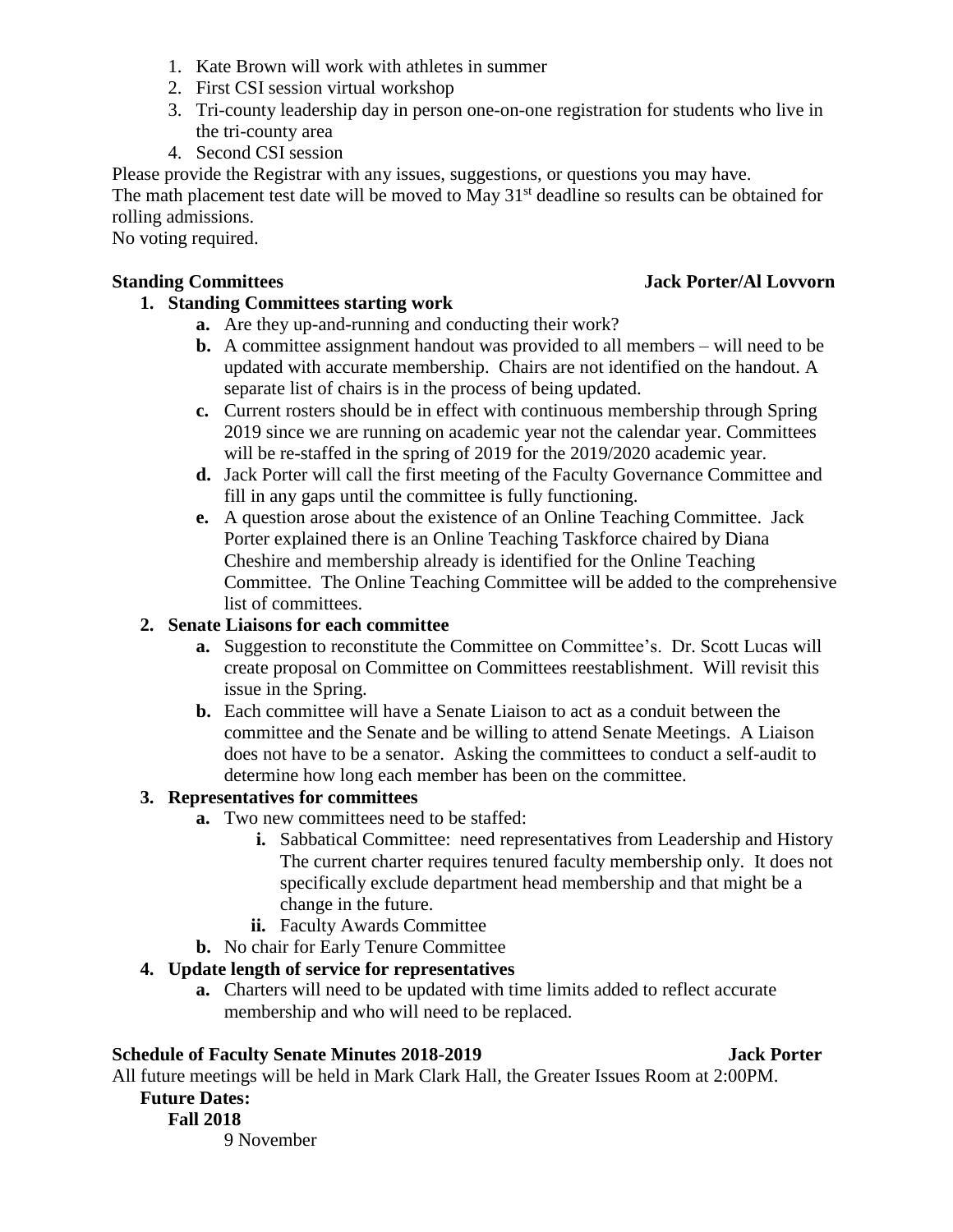- 1. Kate Brown will work with athletes in summer
- 2. First CSI session virtual workshop
- 3. Tri-county leadership day in person one-on-one registration for students who live in the tri-county area
- 4. Second CSI session

Please provide the Registrar with any issues, suggestions, or questions you may have. The math placement test date will be moved to May 31<sup>st</sup> deadline so results can be obtained for rolling admissions.

No voting required.

# **1. Standing Committees starting work**

- **a.** Are they up-and-running and conducting their work?
- **b.** A committee assignment handout was provided to all members will need to be updated with accurate membership. Chairs are not identified on the handout. A separate list of chairs is in the process of being updated.
- **c.** Current rosters should be in effect with continuous membership through Spring 2019 since we are running on academic year not the calendar year. Committees will be re-staffed in the spring of 2019 for the 2019/2020 academic year.
- **d.** Jack Porter will call the first meeting of the Faculty Governance Committee and fill in any gaps until the committee is fully functioning.
- **e.** A question arose about the existence of an Online Teaching Committee. Jack Porter explained there is an Online Teaching Taskforce chaired by Diana Cheshire and membership already is identified for the Online Teaching Committee. The Online Teaching Committee will be added to the comprehensive list of committees.

# **2. Senate Liaisons for each committee**

- **a.** Suggestion to reconstitute the Committee on Committee's. Dr. Scott Lucas will create proposal on Committee on Committees reestablishment. Will revisit this issue in the Spring.
- **b.** Each committee will have a Senate Liaison to act as a conduit between the committee and the Senate and be willing to attend Senate Meetings. A Liaison does not have to be a senator. Asking the committees to conduct a self-audit to determine how long each member has been on the committee.

# **3. Representatives for committees**

- **a.** Two new committees need to be staffed:
	- **i.** Sabbatical Committee: need representatives from Leadership and History The current charter requires tenured faculty membership only. It does not specifically exclude department head membership and that might be a change in the future.
	- **ii.** Faculty Awards Committee
- **b.** No chair for Early Tenure Committee

# **4. Update length of service for representatives**

**a.** Charters will need to be updated with time limits added to reflect accurate membership and who will need to be replaced.

# **Schedule of Faculty Senate Minutes 2018-2019 Jack Porter**

All future meetings will be held in Mark Clark Hall, the Greater Issues Room at 2:00PM.

# **Future Dates:**

**Fall 2018** 9 November

# **Standing Committees Jack Porter/Al Lovvorn**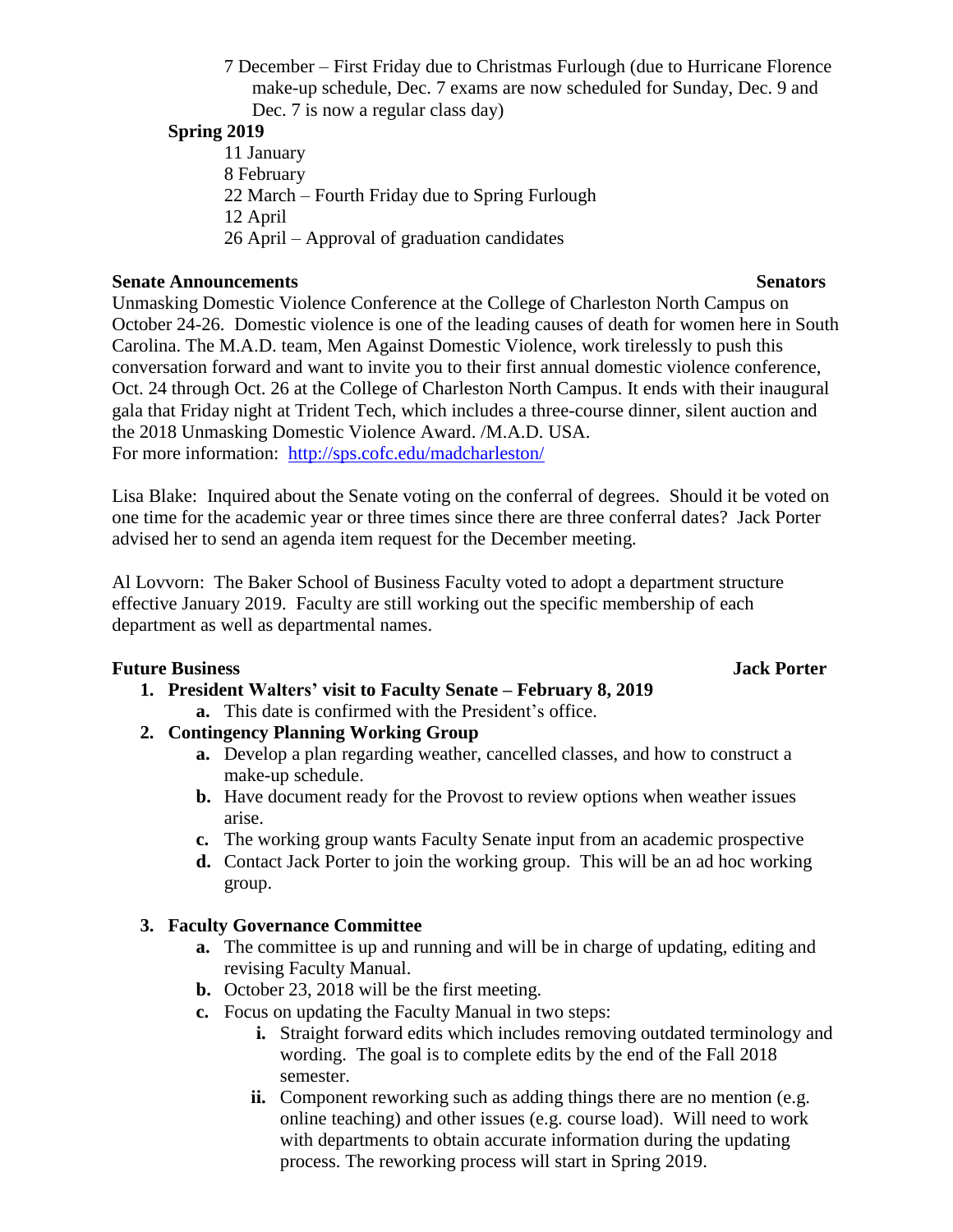7 December – First Friday due to Christmas Furlough (due to Hurricane Florence make-up schedule, Dec. 7 exams are now scheduled for Sunday, Dec. 9 and Dec. 7 is now a regular class day)

## **Spring 2019**

11 January 8 February 22 March – Fourth Friday due to Spring Furlough 12 April 26 April – Approval of graduation candidates

## **Senate Announcements** Senators

Unmasking Domestic Violence Conference at the College of Charleston North Campus on October 24-26. Domestic violence is one of the leading causes of death for women here in South Carolina. The M.A.D. team, Men Against Domestic Violence, work tirelessly to push this conversation forward and want to invite you to their first annual domestic violence conference, Oct. 24 through Oct. 26 at the College of Charleston North Campus. It ends with their inaugural gala that Friday night at Trident Tech, which includes a three-course dinner, silent auction and the 2018 Unmasking Domestic Violence Award. /M.A.D. USA. For more information: <http://sps.cofc.edu/madcharleston/>

Lisa Blake: Inquired about the Senate voting on the conferral of degrees. Should it be voted on one time for the academic year or three times since there are three conferral dates? Jack Porter advised her to send an agenda item request for the December meeting.

Al Lovvorn: The Baker School of Business Faculty voted to adopt a department structure effective January 2019. Faculty are still working out the specific membership of each department as well as departmental names.

## **Future Business Jack Porter**

- **1. President Walters' visit to Faculty Senate – February 8, 2019**
- **a.** This date is confirmed with the President's office. **2. Contingency Planning Working Group**
	- **a.** Develop a plan regarding weather, cancelled classes, and how to construct a make-up schedule.
	- **b.** Have document ready for the Provost to review options when weather issues arise.
	- **c.** The working group wants Faculty Senate input from an academic prospective
	- **d.** Contact Jack Porter to join the working group. This will be an ad hoc working group.

## **3. Faculty Governance Committee**

- **a.** The committee is up and running and will be in charge of updating, editing and revising Faculty Manual.
- **b.** October 23, 2018 will be the first meeting.
- **c.** Focus on updating the Faculty Manual in two steps:
	- **i.** Straight forward edits which includes removing outdated terminology and wording. The goal is to complete edits by the end of the Fall 2018 semester.
	- **ii.** Component reworking such as adding things there are no mention (e.g. online teaching) and other issues (e.g. course load). Will need to work with departments to obtain accurate information during the updating process. The reworking process will start in Spring 2019.